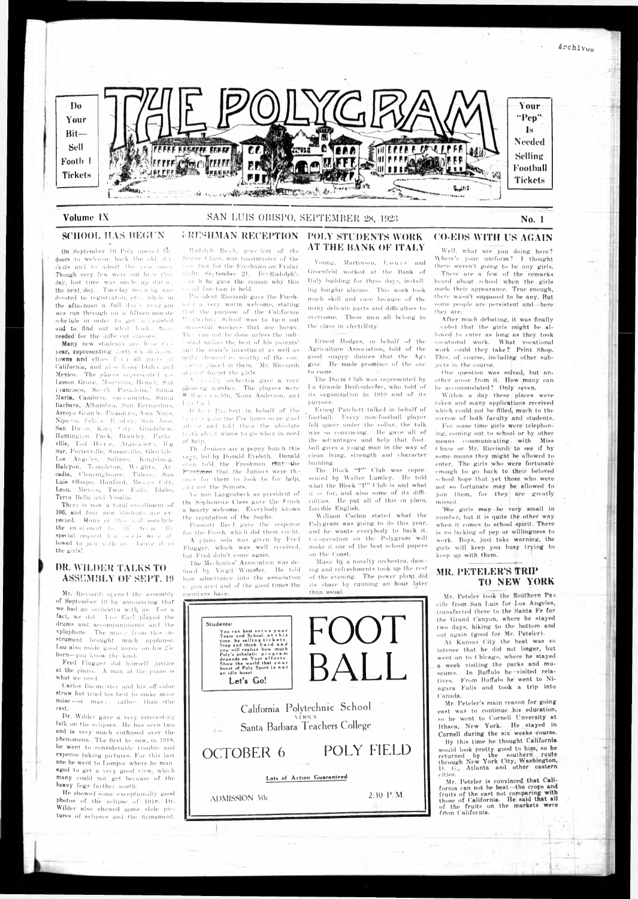On September 10 Poly opene I he doors to welcome back the old sta-('e.its an 1 to admit the now one\*. Though very few were out here that day, lost time was made up durnethe next day. Tuesday mooning was devoted to registiuton, etc., while in the afternoon, a full duy's program was run through on a fifteen-minute schedule in order to get ac , minted and to find out what books were needed for the diffc out classes.

Many new students are here the year, representing forty-s'x differen. towns and cities from all parts of Galifornia, and also from Idah) and Mexico. The places leprcsentcl are I.emon drove, Monrovia, lleniet, San Francisco, South Pasadena,' Santa Maria, Cambria, Saccamento, Santa Barbara, Alhambra, San Bernardino, Arroyo Grande, Pasadenu, Van Nuys, N'ipo no, Sell.ai. I! ud'ey. San Jose, Sun Diego, Kim; City, Guadaluie, Huntington Park, Hrawley, Parke ville, Toil Houle, Atascadero, B.g. Sur, Porterville, Susanville, (Hen lale. I.os 'Angeles, Salinas, Kingsburg, Halcyon, Templeton, Wights, At cadia, Clearinghouse, Tulaie, San Luis Obispo, Hanford, Mexico City, Leon, Mexico, Twin Kalis, Idaho, Terra Delia and Visalia.

There is now a total enrollment of 100, and four new Students aie expected. Howe ei this will wonchile the en-olament for this term. By special request five co-eds we e allowed to jo n With us. Leave it to the girls!

#### DR. WILDER TALKS TO ASSEMBLY OF SEPT. 19

Mr. Ricciardi openel the assembly of September IP by announcing that we had an orehestia with, us. For a fact, we did. Leo Earl played the drums and aeeompaniments and the xylophone. The music from this instrument brought much applause. Leo also made good music on his 25c horn— you know the kind.

Fred Flugger did himself justice at the piano. A man at the piano is what we need.

Garlos Baemelster and his off-color struw hat tried his best to make more  $noise \leftarrow or \quad must \ c, \quad rather \quad than \quad \text{the}$ lest,

Dr. Wilder gave a very interesting talk on the eclipses. He has seen two and is very much enthused over the phenomena. The first he saw, in 1918, he went to considerable trouble and expense taking pictures. For this last one he went to Lompoc where he man aged to get a very good view, which many could not get because of the heavy fogs farther south.

Rudolph Reich, president of the Senior ( lass, was toastmaster of the 'ere tion for the Freshmen on Friday nicht. September 21. In'- Rudolph's ee h he gave the reason why this social function is held.

President Ricciardi gave the Freshmen a very warm welcome, stating tbit tile purpose of the California '\* >Iyt« ehnie School was to turn out successful workers that are happy.  $Th \leftarrow can$  not he done unless the individual makes tin; best of his parents' apd the state's investment as well as matic themselves worthy of the conideiu-e placed in them. Mr. Kieeiurdi di i not I'orrret the girls.

A in city orchestra gave a very pleasing number. The players were -W Mini.i- • oihin, Nona Anderson, and I eo rad.

11 \*11 > -• t Paii hett in behalf of the Sen.crs gave the Freshmen some good. advice and told them the absolute II uth about where to go when in need of help.

I'OLY STUDENTS WORK AT THE BANK OF ITALY

Young, Martinson, Louis and (iroenfeld worked at the Hank of Italy building for three days, installing burglar alarms. This work took much skill and rare because of the many delicate parts and difficulties to overcome. These men all belong to the class in electricity.

Ernest Patchett talked in behalf of **; football.** Kvery **non-football** player **felt** queer under **the collar, the talk** was so convincing. He gave all of the advantages and help that football gives a young man in the way of clean Iving, strength and character huildjnR.

He showed some exceptionally Rood Photos of the eclipse of lfilN. Hr. Wilder also showed some slide pictures of eclipses and the firmament. depands on Your afforts.<br>Show the world that your<br>boast of Poly Spirit is not<br>an idle boast. Let's Go!

The Block "P" Club was represented by Walter I.umley. He told what the Block "P" Club is and what it is for, and also some of its difficulties. He put all of this in plain, forcible English.

William Corbin stated what the Polygram was going to do this year. and he wants everybody to back it. Co-operation on the PolyRrum will make it one of the best school papers on the Coast.

Music by a novelty orchestra, dancing and refreshments took up the rest of the evening. The power plant did its share by running an hour later than usual.

After much debating, it was finally ended that the girls might be allowed to enter as long as they took vocational work. What vocational work could they take?' Print Shop. This, of course, including other subjects in the course.

One question was solved, but another arose from it. How many can be accommodated ? Only sqven.

Within a day these places were taken and many applications received which could not be filled, much to the sorrow of both faculty and students.

Th doniors are a peppy hunch this year, led by Donald Eveleth. Donald even to'd the Freshmen rhat the Freshmen that the Juniors were the ones for them to look to for help, end not the Seniors.

For some time girls were telephoning, coming out to school or by other means communicating with Miss Chase or Mr. Ricciardi to she if by some means they might be allowed to enter. The girls who were fortunate enough to go back to their beloved school hope that yet those who were not so fortunate may be allowed to join them, for they are greatly missed.

The girls may be very small in number, but it is quite the other way when it comes to school spirit. There is no lacking of pep or willingness to work. Boys, just take warning, the girls will keep you busy trying to keep up with them.

# MR. PETELER'S TRIP TO NEW YORK

\ e: non I.unRenheek as president of the Sophomore Class gave the Frosh n hearty welcome. F.verybody knows the reputation of the Sophs.

Prescott Reel gave the response for the Frosh, which did them credit. A piano solo was **Riven** by Fre I FluRRcr, which was well **received,** but Fred didn't come again.

The Mechanics' Association was defined by Virgil Wimmer. He told how admittance into the association i- procured and of the Rood times the

Students: You can best ser Team and School, at this<br>time, by selling tickets.<br>Stop and think hard and<br>you will realize how much

you will realize<br>Poly's atheletic

members have.

Mr. Peteler is convinced that California can not be beat--the crops and fruits of the cast not comparing with those of California. He! said that all of the fruits on the markets were from California.



Volume IX SAN LUIS OBISPO, SEPTEMBER 28, 1923

# SCHOOL HAS BEGUN FRESHMAN RECEPTION

F.rncst HikIrcs, in behalf of the Agriculture Association, told of the Rood snappy dances that the Ags Rive. He made promises of the one to come.

The Dorm Club was represented by l a Grande Deifcndci fer, who told of its organization in 1919 and of its purpose.



# **CO-EDS WITH US AGAIN**

Well, what are you doing here? **\\ here's your uniform?** 1 thought there weren't going to be any girls.

**California Polytechnic School** VERSUS **Sanla Barbara Teachers College**

OCTOBER 6 POLY FIELD

Lots of Action Guaranteed

 $\Delta$ DMISSION 50c 2:30 P.M.

These are **a few of the** remarks heard about school when the girls made their appearance. True enough, there **wasn't**-supposed to **be** any. Rut some **people are persistent** and**— here** they **are.**

Mr. Peteler took the Southern Pa\* eifie from San Luis for Los Angeles, transferred there to the Santa Fe for the Grand Canyon, where he stayed two days, hiking to the bottom and out again (good for Mr. Peteler).

At Kansas City the heat was so intense that he did not linger, but went on to Chicago, where he stayed a week visiting the parks and museums. In Buffalo he-visited relatives. From Buffalo he went to Niagara Falls and took a trip into Canada.

Archivou

Mr. Pcteler's main reason for going east was to continue his education, so he went to Cornell Unversity at Ithaca, New York. He stayed in Cornell during the six weeks course. By this time he thought California

would look pretty good to him, so he returned by the southern route through New York City, Washington, D. G., Atlanta anil othor eastern cities.

r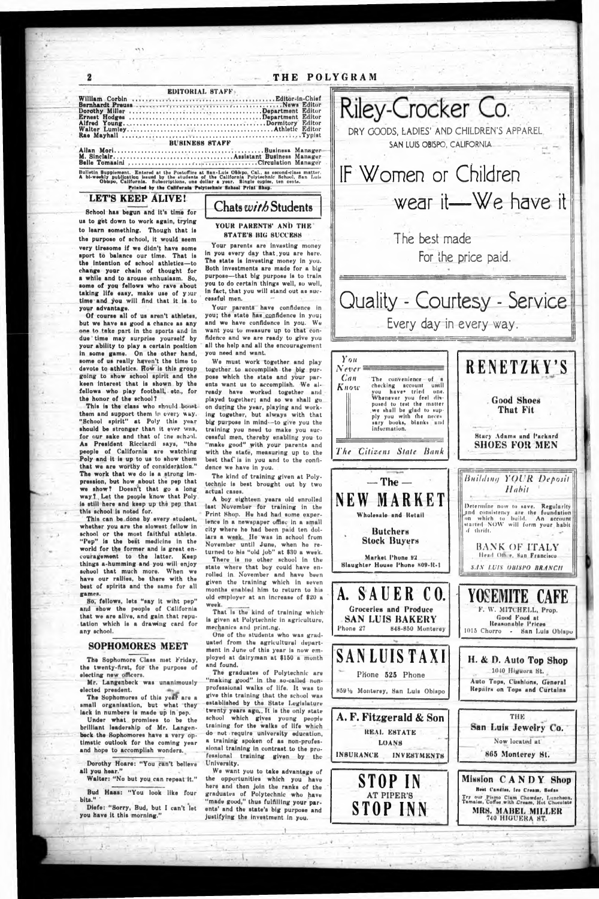**..; i**

*l.*

\*>

2

# THE POLYGRAM

M. Sinclair...........................................................Assistant Business Manager Belle Tomasini ............... ..............*..*. .ir. . . . .T7Tr. .T. .7TCtr<lttlation Manager Bulletin Bupplement. Entered at the Postoffice at San-Luis Oblapo, Cal., as second-class matter.<br>A bi-weekly publication issued by the students of the California Polytechnic School, San Luis<br>- Oblapo, California. Bubsorip

|                                       |  |  |  |  |  |  |  |  | <b>EDITORIAL STAFF</b> |  |  |  |  |  |  |                                     |  |  |
|---------------------------------------|--|--|--|--|--|--|--|--|------------------------|--|--|--|--|--|--|-------------------------------------|--|--|
|                                       |  |  |  |  |  |  |  |  |                        |  |  |  |  |  |  |                                     |  |  |
|                                       |  |  |  |  |  |  |  |  |                        |  |  |  |  |  |  |                                     |  |  |
|                                       |  |  |  |  |  |  |  |  |                        |  |  |  |  |  |  |                                     |  |  |
|                                       |  |  |  |  |  |  |  |  |                        |  |  |  |  |  |  |                                     |  |  |
|                                       |  |  |  |  |  |  |  |  |                        |  |  |  |  |  |  |                                     |  |  |
|                                       |  |  |  |  |  |  |  |  |                        |  |  |  |  |  |  | <b>BUSINESS STAFF AND RESIDENCE</b> |  |  |
| M Sinclair Assistant Business Manages |  |  |  |  |  |  |  |  |                        |  |  |  |  |  |  |                                     |  |  |

Printed by tha California Polytechnic School Print Shop.

### LET'S KEEP ALIVE!

This is the class who should boostthem and support them in every way. "School spirit" at Poly this year should be stronger than it ever was, for our sake and that of the school. As President Ricciardi says, "the people of California aro watching Poly and it is up to us to show them that we are worthy of consideration." The work that we do is a strong impression, but how about the pep that we show? Doesn't that go a long way I , Let the people know that Poly is still here and keep up the pep that this school is noted for.

This can be done by every student, whether you are the slowest fellow in school or the most faithful athlete. "Pep" Is the best medicine in the world for the former and is great encouragement to the latter. Keep things a-humming and you will enjoy school that much more. When we have our rallies, be there with the best of spirits and the same for all games.

School has begun and it's time for us to get down to work again, trying to learn something. Though that is the purpose of school, it would seem very tiresome if we didn't have some sport to balance our time. That is the intention of school athletics— to change your chain of thought for a while and to arouse enhuslasm. So, some of you fellows who rave about taking life easy, make use of your time and you will And that it is to your advantage.

The Sophomores of this year are a small organisation, but what they lack in numbers is made up in pep.

Dorothy Hoare: "You can't believe all you hear."

Bud Haas: "You look like four  $blts."$ 

Of course all of us aren't athletes, but we have as good a chance as any one to take part in the sports and in due time may surprise yourself by your ability to play a certain position in some game. On the other hand, some of us really haven't the time to devote to athletics. Row is this group going to show school spirit and the keen interest that is shown by the fellows who play football, etc., for the honor of the school ?

Your parents have confidence in you; the state has confidence in you; and we have confidence in you. We want you to measure up to that con-Adence and we are ready to give you all the help and all the encouragement you need and want.

A boy eighteen years old enrolled last November for training in the Print Shop. He had had some experience in a newspaper ufflec in a small city where he had been paid ten dollars a week. He was in school from November until June, when he returned to his "old job" at \$30 a week. There is no other school in the state where that boy could have enrolled in November and have been given the training which in seven months enabled him to return to his old employer at an increase of  $$20$  a week.

That is the kind of training which is given at Polytechnic in agriculture, mechanics and print.ng.

ployed at dairyman at \$150 a month and found.

So, fellows, lets "say it wiht pep" and show the people of California that we are alive, and gain that reputation which is a drawing card for any school.

#### SOPHOMORES MEET

Chats *with* Students

The Sophomore Class met Friday, the twenty-Arst, for the purpose of electing new officers.

Mr. Langenbeck was unanimously elected presdent.

Under what promises to be the brilliant leadership of Mr, Langenbeck the Sophomores have a very optimstic outlook for the coming year and hope to accomplish wonders.

Walter: "No but you can repeat it."

Diefe: "Sorry, Bud, but I can't let you have it this morning."

#### YOUR PARENTS' AND THE STATE'S BIG SUCCESS

Your parents are investing money in you every day that, you are here. The state is investing money in you. Both Investments are made for a big purpose— that big purpose is to train you to do certain things well, so well, in fact, that you will stand out as successful men.

> I'ry our Piamo Clam Chowder, Luncheon.<br>Tamales, Coffee with Cream, Hot Chocolate **MRS. MABEL MILLER** 740 IUGUERA HT.

We must work together and play together to accomplish the big purpose which the state and your parents want us to accomplish. We already hnve worked together and played together; and so we shall go on during the year, playing and working together, but always with that big purpose in mind--to give you the training you need to make you successful men, thereby enabling you to "make good" with your parents and with the state, measuring up to the best that is in you and to the confidence we have in you.

The kind of training given at Polytechnic is best brought out by two actual cases.

One of the students who was graduated from the agricultural department in June of this year is now em-

The graduates of Polytechnic are "making good" in the so-called nonprofessional walks of life. It was to give this training that the school wus established by the State Legislature twenty years ago.. It is the only state school which gives young people training for the walks of life which do not require university education, a training spoken of as non-professional training in contrast to the professional truining given by the University.

We want you to take advantage of the opportunities which you have here and then join the ranks of the graduates of Polytechnic who have "made good," thus fulAiling your parents' and the state's big purpose and Justifying the Investment in you.

and a strong strong product the strong product of the strong product of



**S T O P I NN**

*f*

**SANLUIS TAXI PHone S25 Phone** 859% Monterey, San Luis Obispo H. & D. Auto Top Shop 1010 Higuora St. Auto Tops, Cushions, General Repairs on Tops and Curtaina **A. F. Fitzgerald & Son | | THE** REAL ESTATE **»an i.u is** .jew elry t o. LOANS Now located at INSURANCE INVESTMENTS 865 Monterey St. **S TOP IN AT PIPER'S** Mission CANDY Shop Hest Candles, lee Cream, Sedas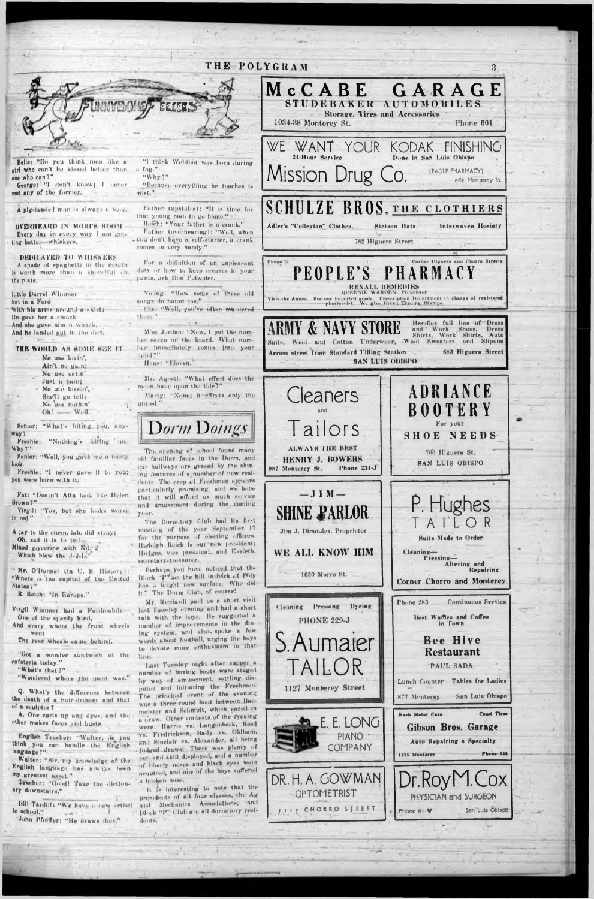

#### cafeteria today." "What's that ?"

way?

look.

"Wondered where the meat was."

Q. What's the difference between the death of a hair-dresser and that of a sculptor?

A. One curls up and dyes, and the other makes faces and busts.

English Teacher: "Walter, do you think you can handle the English language ?"

Walter: "Sir, my knowledge of the English language has always been my greatest naset."

Teacher: "Good! Take the dictionary downatairs."

Bill Tardiff: "We have a new artist! in school."

John Pfeiffer: "He draws flies."

 $+ - 1 - 1$ 

Last Tuesday night after supper a number of boxing bouts were staged by way of amusement, settling disputes and initiating the Freshmen. The principal event of the evening WHE B three-round bout between Bacmeaster and Schmidt, which ended in a draw. Other contests of the evening were: Harris vs. Langenbeck, Reed Va. Fredrickson, Baily va. Oldham, and Sinclair va. Alexander, all being judged draws. There was plenty of pep and skill displayed, and a number of bloody noses and black eyes were acquired, and one of the boys suffere! a broken nose.

it is interesting to note that the presidents of all four classes, the Ag and Mechanics Associations, and Block "P" Club are all dormitory residents.

PAUL SADA Lunch Counter Tables for Ladies 1127 Monterey Street San Luis Obispo 877 Monterey **Coast Tires** Nash Motor Cars LONG Gibson Bros. Garage PIANO **Auto Repairing a Specialty** COMPANY Phone-M4 1025 Menterey DR. H. A. GOWMAN Dr.Royl **\_OX** OPTOMETRIST PHYSICIAN and SURGEON JIIZ CHORRO STREET Sen Luis Obispo Phone 81-W